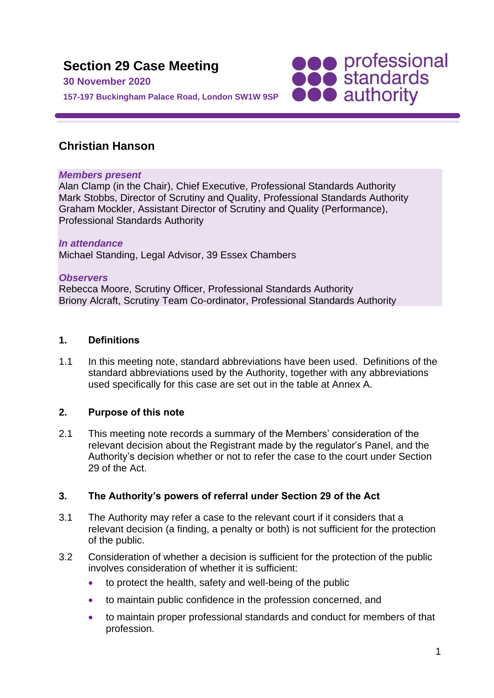

# **Christian Hanson**

### *Members present*

Alan Clamp (in the Chair), Chief Executive, Professional Standards Authority Mark Stobbs, Director of Scrutiny and Quality, Professional Standards Authority Graham Mockler, Assistant Director of Scrutiny and Quality (Performance), Professional Standards Authority

## *In attendance* Michael Standing, Legal Advisor, 39 Essex Chambers

### *Observers*

Rebecca Moore, Scrutiny Officer, Professional Standards Authority Briony Alcraft, Scrutiny Team Co-ordinator, Professional Standards Authority

### **1. Definitions**

1.1 In this meeting note, standard abbreviations have been used. Definitions of the standard abbreviations used by the Authority, together with any abbreviations used specifically for this case are set out in the table at Annex A.

### **2. Purpose of this note**

2.1 This meeting note records a summary of the Members' consideration of the relevant decision about the Registrant made by the regulator's Panel, and the Authority's decision whether or not to refer the case to the court under Section 29 of the Act.

### **3. The Authority's powers of referral under Section 29 of the Act**

- 3.1 The Authority may refer a case to the relevant court if it considers that a relevant decision (a finding, a penalty or both) is not sufficient for the protection of the public.
- 3.2 Consideration of whether a decision is sufficient for the protection of the public involves consideration of whether it is sufficient:
	- to protect the health, safety and well-being of the public
	- to maintain public confidence in the profession concerned, and
	- to maintain proper professional standards and conduct for members of that profession.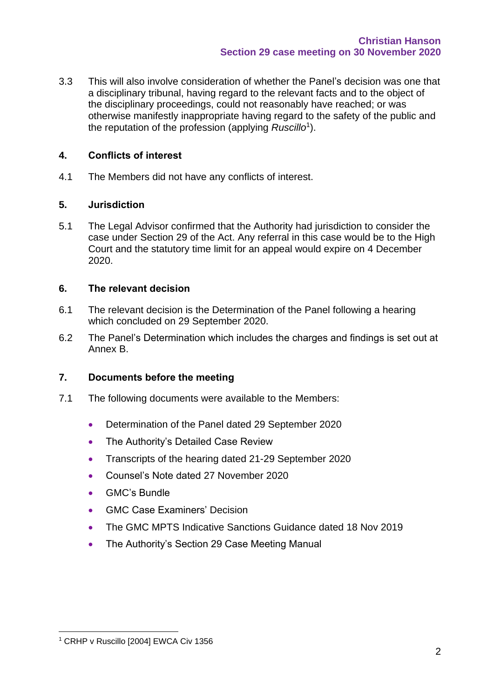3.3 This will also involve consideration of whether the Panel's decision was one that a disciplinary tribunal, having regard to the relevant facts and to the object of the disciplinary proceedings, could not reasonably have reached; or was otherwise manifestly inappropriate having regard to the safety of the public and the reputation of the profession (applying *Ruscillo*<sup>1</sup> ).

## **4. Conflicts of interest**

4.1 The Members did not have any conflicts of interest.

### **5. Jurisdiction**

5.1 The Legal Advisor confirmed that the Authority had jurisdiction to consider the case under Section 29 of the Act. Any referral in this case would be to the High Court and the statutory time limit for an appeal would expire on 4 December 2020.

## **6. The relevant decision**

- 6.1 The relevant decision is the Determination of the Panel following a hearing which concluded on 29 September 2020.
- 6.2 The Panel's Determination which includes the charges and findings is set out at Annex B.

## **7. Documents before the meeting**

- 7.1 The following documents were available to the Members:
	- Determination of the Panel dated 29 September 2020
	- The Authority's Detailed Case Review
	- Transcripts of the hearing dated 21-29 September 2020
	- Counsel's Note dated 27 November 2020
	- GMC's Bundle
	- GMC Case Examiners' Decision
	- The GMC MPTS Indicative Sanctions Guidance dated 18 Nov 2019
	- The Authority's Section 29 Case Meeting Manual

<sup>&</sup>lt;sup>1</sup> CRHP v Ruscillo [2004] EWCA Civ 1356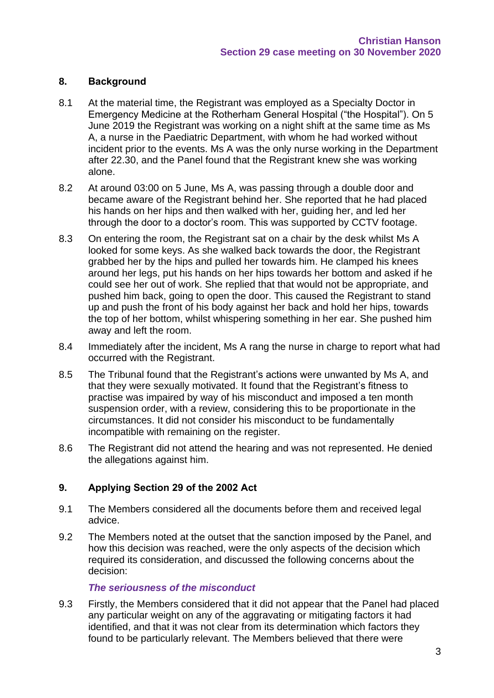## **8. Background**

- 8.1 At the material time, the Registrant was employed as a Specialty Doctor in Emergency Medicine at the Rotherham General Hospital ("the Hospital"). On 5 June 2019 the Registrant was working on a night shift at the same time as Ms A, a nurse in the Paediatric Department, with whom he had worked without incident prior to the events. Ms A was the only nurse working in the Department after 22.30, and the Panel found that the Registrant knew she was working alone.
- 8.2 At around 03:00 on 5 June, Ms A, was passing through a double door and became aware of the Registrant behind her. She reported that he had placed his hands on her hips and then walked with her, guiding her, and led her through the door to a doctor's room. This was supported by CCTV footage.
- 8.3 On entering the room, the Registrant sat on a chair by the desk whilst Ms A looked for some keys. As she walked back towards the door, the Registrant grabbed her by the hips and pulled her towards him. He clamped his knees around her legs, put his hands on her hips towards her bottom and asked if he could see her out of work. She replied that that would not be appropriate, and pushed him back, going to open the door. This caused the Registrant to stand up and push the front of his body against her back and hold her hips, towards the top of her bottom, whilst whispering something in her ear. She pushed him away and left the room.
- 8.4 Immediately after the incident, Ms A rang the nurse in charge to report what had occurred with the Registrant.
- 8.5 The Tribunal found that the Registrant's actions were unwanted by Ms A, and that they were sexually motivated. It found that the Registrant's fitness to practise was impaired by way of his misconduct and imposed a ten month suspension order, with a review, considering this to be proportionate in the circumstances. It did not consider his misconduct to be fundamentally incompatible with remaining on the register.
- 8.6 The Registrant did not attend the hearing and was not represented. He denied the allegations against him.

## **9. Applying Section 29 of the 2002 Act**

- 9.1 The Members considered all the documents before them and received legal advice.
- 9.2 The Members noted at the outset that the sanction imposed by the Panel, and how this decision was reached, were the only aspects of the decision which required its consideration, and discussed the following concerns about the decision:

### *The seriousness of the misconduct*

9.3 Firstly, the Members considered that it did not appear that the Panel had placed any particular weight on any of the aggravating or mitigating factors it had identified, and that it was not clear from its determination which factors they found to be particularly relevant. The Members believed that there were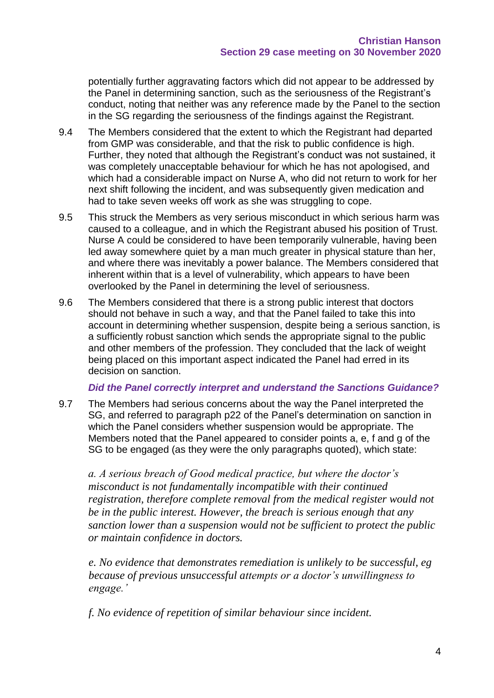potentially further aggravating factors which did not appear to be addressed by the Panel in determining sanction, such as the seriousness of the Registrant's conduct, noting that neither was any reference made by the Panel to the section in the SG regarding the seriousness of the findings against the Registrant.

- 9.4 The Members considered that the extent to which the Registrant had departed from GMP was considerable, and that the risk to public confidence is high. Further, they noted that although the Registrant's conduct was not sustained, it was completely unacceptable behaviour for which he has not apologised, and which had a considerable impact on Nurse A, who did not return to work for her next shift following the incident, and was subsequently given medication and had to take seven weeks off work as she was struggling to cope.
- 9.5 This struck the Members as very serious misconduct in which serious harm was caused to a colleague, and in which the Registrant abused his position of Trust. Nurse A could be considered to have been temporarily vulnerable, having been led away somewhere quiet by a man much greater in physical stature than her, and where there was inevitably a power balance. The Members considered that inherent within that is a level of vulnerability, which appears to have been overlooked by the Panel in determining the level of seriousness.
- 9.6 The Members considered that there is a strong public interest that doctors should not behave in such a way, and that the Panel failed to take this into account in determining whether suspension, despite being a serious sanction, is a sufficiently robust sanction which sends the appropriate signal to the public and other members of the profession. They concluded that the lack of weight being placed on this important aspect indicated the Panel had erred in its decision on sanction.

### *Did the Panel correctly interpret and understand the Sanctions Guidance?*

9.7 The Members had serious concerns about the way the Panel interpreted the SG, and referred to paragraph p22 of the Panel's determination on sanction in which the Panel considers whether suspension would be appropriate. The Members noted that the Panel appeared to consider points a, e, f and g of the SG to be engaged (as they were the only paragraphs quoted), which state:

*a. A serious breach of Good medical practice, but where the doctor's misconduct is not fundamentally incompatible with their continued registration, therefore complete removal from the medical register would not be in the public interest. However, the breach is serious enough that any sanction lower than a suspension would not be sufficient to protect the public or maintain confidence in doctors.*

*e. No evidence that demonstrates remediation is unlikely to be successful, eg because of previous unsuccessful attempts or a doctor's unwillingness to engage.'*

*f. No evidence of repetition of similar behaviour since incident.*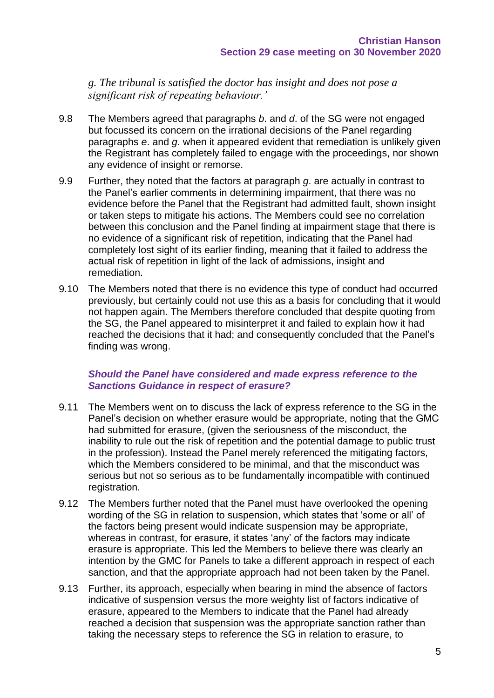*g. The tribunal is satisfied the doctor has insight and does not pose a significant risk of repeating behaviour.'*

- 9.8 The Members agreed that paragraphs *b*. and *d*. of the SG were not engaged but focussed its concern on the irrational decisions of the Panel regarding paragraphs *e*. and *g*. when it appeared evident that remediation is unlikely given the Registrant has completely failed to engage with the proceedings, nor shown any evidence of insight or remorse.
- 9.9 Further, they noted that the factors at paragraph *g*. are actually in contrast to the Panel's earlier comments in determining impairment, that there was no evidence before the Panel that the Registrant had admitted fault, shown insight or taken steps to mitigate his actions. The Members could see no correlation between this conclusion and the Panel finding at impairment stage that there is no evidence of a significant risk of repetition, indicating that the Panel had completely lost sight of its earlier finding, meaning that it failed to address the actual risk of repetition in light of the lack of admissions, insight and remediation.
- 9.10 The Members noted that there is no evidence this type of conduct had occurred previously, but certainly could not use this as a basis for concluding that it would not happen again. The Members therefore concluded that despite quoting from the SG, the Panel appeared to misinterpret it and failed to explain how it had reached the decisions that it had; and consequently concluded that the Panel's finding was wrong.

### *Should the Panel have considered and made express reference to the Sanctions Guidance in respect of erasure?*

- 9.11 The Members went on to discuss the lack of express reference to the SG in the Panel's decision on whether erasure would be appropriate, noting that the GMC had submitted for erasure, (given the seriousness of the misconduct, the inability to rule out the risk of repetition and the potential damage to public trust in the profession). Instead the Panel merely referenced the mitigating factors, which the Members considered to be minimal, and that the misconduct was serious but not so serious as to be fundamentally incompatible with continued registration.
- 9.12 The Members further noted that the Panel must have overlooked the opening wording of the SG in relation to suspension, which states that 'some or all' of the factors being present would indicate suspension may be appropriate, whereas in contrast, for erasure, it states 'any' of the factors may indicate erasure is appropriate. This led the Members to believe there was clearly an intention by the GMC for Panels to take a different approach in respect of each sanction, and that the appropriate approach had not been taken by the Panel.
- 9.13 Further, its approach, especially when bearing in mind the absence of factors indicative of suspension versus the more weighty list of factors indicative of erasure, appeared to the Members to indicate that the Panel had already reached a decision that suspension was the appropriate sanction rather than taking the necessary steps to reference the SG in relation to erasure, to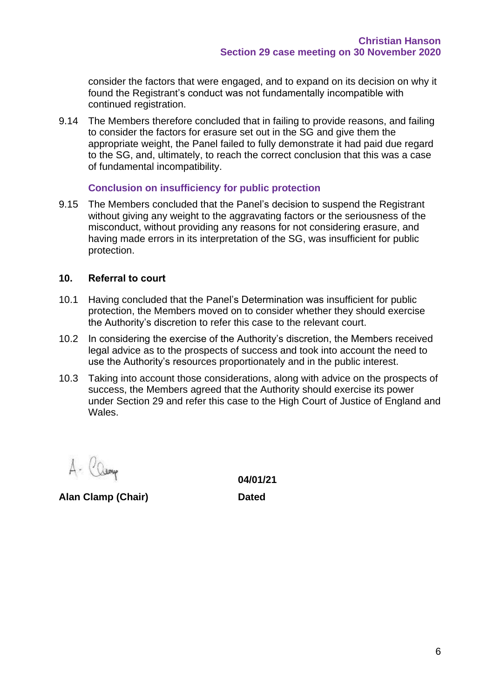consider the factors that were engaged, and to expand on its decision on why it found the Registrant's conduct was not fundamentally incompatible with continued registration.

9.14 The Members therefore concluded that in failing to provide reasons, and failing to consider the factors for erasure set out in the SG and give them the appropriate weight, the Panel failed to fully demonstrate it had paid due regard to the SG, and, ultimately, to reach the correct conclusion that this was a case of fundamental incompatibility.

### **Conclusion on insufficiency for public protection**

9.15 The Members concluded that the Panel's decision to suspend the Registrant without giving any weight to the aggravating factors or the seriousness of the misconduct, without providing any reasons for not considering erasure, and having made errors in its interpretation of the SG, was insufficient for public protection.

### **10. Referral to court**

- 10.1 Having concluded that the Panel's Determination was insufficient for public protection, the Members moved on to consider whether they should exercise the Authority's discretion to refer this case to the relevant court.
- 10.2 In considering the exercise of the Authority's discretion, the Members received legal advice as to the prospects of success and took into account the need to use the Authority's resources proportionately and in the public interest.
- 10.3 Taking into account those considerations, along with advice on the prospects of success, the Members agreed that the Authority should exercise its power under Section 29 and refer this case to the High Court of Justice of England and Wales.

**Alan Clamp (Chair) Dated**

**04/01/21**